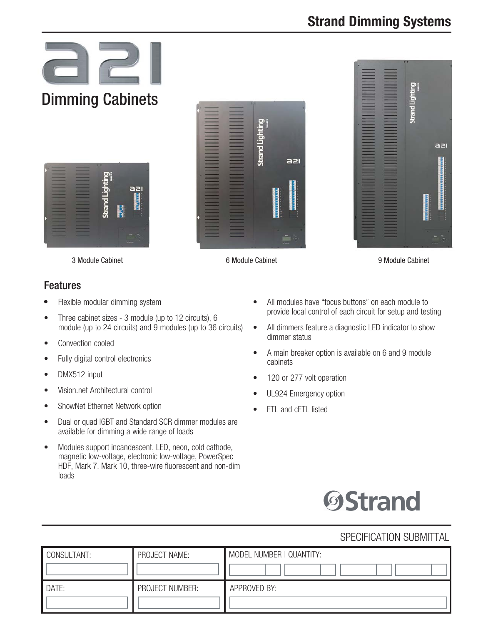# **Strand Dimming Systems**









3 Module Cabinet

6 Module Cabinet 9 Module Cabinet

### Features

- Flexible modular dimming system
- Three cabinet sizes 3 module (up to 12 circuits), 6 module (up to 24 circuits) and 9 modules (up to 36 circuits)
- Convection cooled
- Fully digital control electronics
- DMX512 input
- Vision.net Architectural control
- ShowNet Ethernet Network option
- Dual or quad IGBT and Standard SCR dimmer modules are available for dimming a wide range of loads
- Modules support incandescent, LED, neon, cold cathode, magnetic low-voltage, electronic low-voltage, PowerSpec HDF, Mark 7, Mark 10, three-wire fluorescent and non-dim loads
- All modules have "focus buttons" on each module to provide local control of each circuit for setup and testing
- All dimmers feature a diagnostic LED indicator to show dimmer status
- A main breaker option is available on 6 and 9 module cabinets
- 120 or 277 volt operation
- UL924 Emergency option
- ETL and cETL listed



# SPECIFICATION SUBMITTAL

| CONSULTANT: | PROJECT NAME:   | MODEL NUMBER   QUANTITY: |
|-------------|-----------------|--------------------------|
| DATE:       | PROJECT NUMBER: | APPROVED BY:             |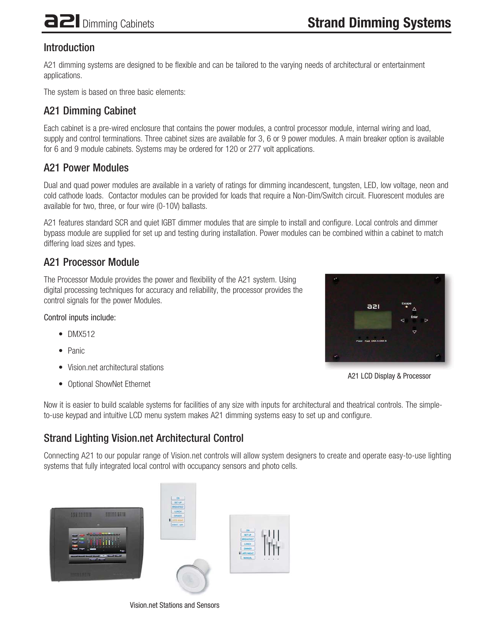# Introduction

A21 dimming systems are designed to be flexible and can be tailored to the varying needs of architectural or entertainment applications.

The system is based on three basic elements:

# A21 Dimming Cabinet

Each cabinet is a pre-wired enclosure that contains the power modules, a control processor module, internal wiring and load, supply and control terminations. Three cabinet sizes are available for 3, 6 or 9 power modules. A main breaker option is available for 6 and 9 module cabinets. Systems may be ordered for 120 or 277 volt applications.

## A21 Power Modules

Dual and quad power modules are available in a variety of ratings for dimming incandescent, tungsten, LED, low voltage, neon and cold cathode loads. Contactor modules can be provided for loads that require a Non-Dim/Switch circuit. Fluorescent modules are available for two, three, or four wire (0-10V) ballasts.

A21 features standard SCR and quiet IGBT dimmer modules that are simple to install and configure. Local controls and dimmer bypass module are supplied for set up and testing during installation. Power modules can be combined within a cabinet to match differing load sizes and types.

# A21 Processor Module

The Processor Module provides the power and flexibility of the A21 system. Using digital processing techniques for accuracy and reliability, the processor provides the control signals for the power Modules.

Control inputs include:

- DMX512
- Panic
- Vision.net architectural stations
- Optional ShowNet Ethernet





Now it is easier to build scalable systems for facilities of any size with inputs for architectural and theatrical controls. The simpleto-use keypad and intuitive LCD menu system makes A21 dimming systems easy to set up and configure.

# Strand Lighting Vision.net Architectural Control

Connecting A21 to our popular range of Vision.net controls will allow system designers to create and operate easy-to-use lighting systems that fully integrated local control with occupancy sensors and photo cells.





Vision.net Stations and Sensors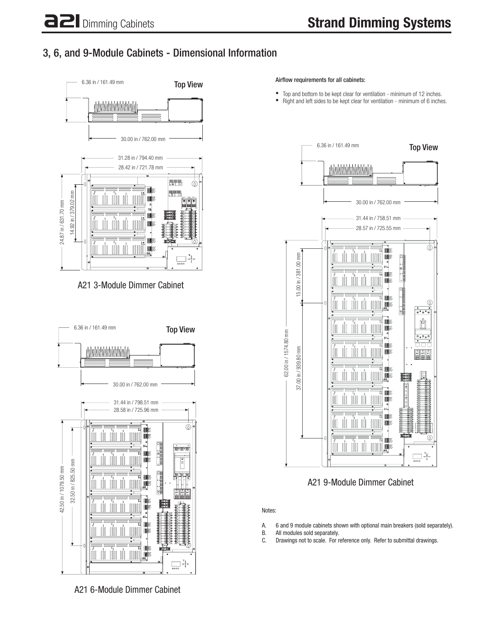# 3, 6, and 9-Module Cabinets - Dimensional Information



A21 3-Module Dimmer Cabinet



Airflow requirements for all cabinets:

- Top and bottom to be kept clear for ventilation minimum of 12 inches.
- Right and left sides to be kept clear for ventilation minimum of 6 inches.



A21 9-Module Dimmer Cabinet

Notes:

- A. 6 and 9 module cabinets shown with optional main breakers (sold separately).
- All modules sold separately.
- C. Drawings not to scale. For reference only. Refer to submittal drawings.

A21 6-Module Dimmer Cabinet